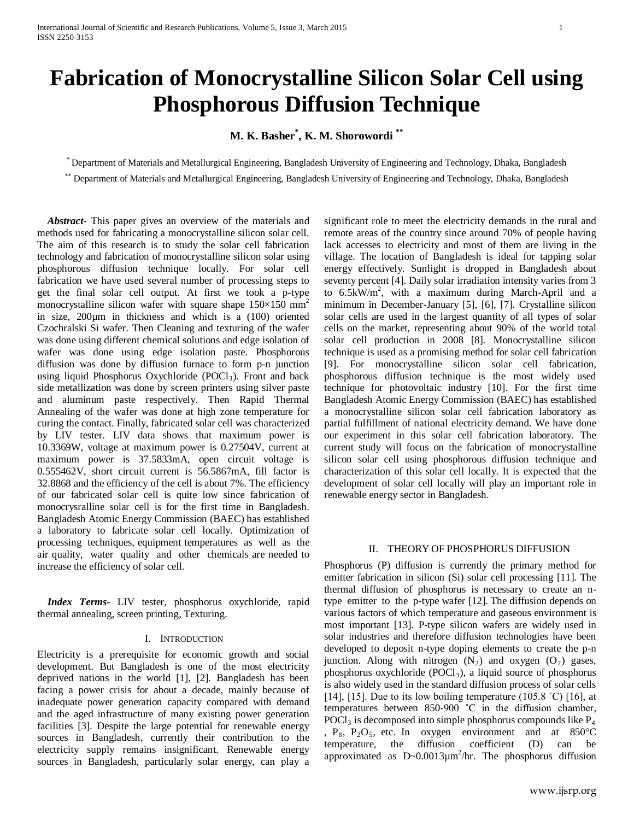# **Fabrication of Monocrystalline Silicon Solar Cell using Phosphorous Diffusion Technique**

# **M. K. Basher\* , K. M. Shorowordi \*\***

\* Department of Materials and Metallurgical Engineering, Bangladesh University of Engineering and Technology, Dhaka, Bangladesh

\*\* Department of Materials and Metallurgical Engineering, Bangladesh University of Engineering and Technology, Dhaka, Bangladesh

 *Abstract***-** This paper gives an overview of the materials and methods used for fabricating a monocrystalline silicon solar cell. The aim of this research is to study the solar cell fabrication technology and fabrication of monocrystalline silicon solar using phosphorous diffusion technique locally. For solar cell fabrication we have used several number of processing steps to get the final solar cell output. At first we took a p-type monocrystalline silicon wafer with square shape  $150\times150$  mm<sup>2</sup> in size, 200µm in thickness and which is a (100) oriented Czochralski Si wafer. Then Cleaning and texturing of the wafer was done using different chemical solutions and edge isolation of wafer was done using edge isolation paste. Phosphorous diffusion was done by diffusion furnace to form p-n junction using liquid Phosphorus Oxychloride (POCl<sub>3</sub>). Front and back side metallization was done by screen printers using silver paste and aluminum paste respectively. Then Rapid Thermal Annealing of the wafer was done at high zone temperature for curing the contact. Finally, fabricated solar cell was characterized by LIV tester. LIV data shows that maximum power is 10.3369W, voltage at maximum power is 0.27504V, current at maximum power is 37.5833mA, open circuit voltage is 0.555462V, short circuit current is 56.5867mA, fill factor is 32.8868 and the efficiency of the cell is about 7%. The efficiency of our fabricated solar cell is quite low since fabrication of monocrysralline solar cell is for the first time in Bangladesh. Bangladesh Atomic Energy Commission (BAEC) has established a laboratory to fabricate solar cell locally. Optimization of processing techniques, equipment temperatures as well as the air quality, water quality and other chemicals are needed to increase the efficiency of solar cell.

 *Index Terms*- LIV tester, phosphorus oxychloride, rapid thermal annealing, screen printing, Texturing.

## I. INTRODUCTION

Electricity is a prerequisite for economic growth and social development. But Bangladesh is one of the most electricity deprived nations in the world [1], [2]. Bangladesh has been facing a power crisis for about a decade, mainly because of inadequate power generation capacity compared with demand and the aged infrastructure of many existing power generation facilities [3]. Despite the large potential for renewable energy sources in Bangladesh, currently their contribution to the electricity supply remains insignificant. Renewable energy sources in Bangladesh, particularly solar energy, can play a significant role to meet the electricity demands in the rural and remote areas of the country since around 70% of people having lack accesses to electricity and most of them are living in the village. The location of Bangladesh is ideal for tapping solar energy effectively. Sunlight is dropped in Bangladesh about seventy percent [4]. Daily solar irradiation intensity varies from 3 to 6.5kW/m2 , with a maximum during March-April and a minimum in December-January [5], [6], [7]. Crystalline silicon solar cells are used in the largest quantity of all types of solar cells on the market, representing about 90% of the world total solar cell production in 2008 [8]. Monocrystalline silicon technique is used as a promising method for solar cell fabrication [9]. For monocrystalline silicon solar cell fabrication, phosphorous diffusion technique is the most widely used technique for photovoltaic industry [10]. For the first time Bangladesh Atomic Energy Commission (BAEC) has established a monocrystalline silicon solar cell fabrication laboratory as partial fulfillment of national electricity demand. We have done our experiment in this solar cell fabrication laboratory. The current study will focus on the fabrication of monocrystalline silicon solar cell using phosphorous diffusion technique and characterization of this solar cell locally. It is expected that the development of solar cell locally will play an important role in renewable energy sector in Bangladesh.

## II. THEORY OF PHOSPHORUS DIFFUSION

Phosphorus (P) diffusion is currently the primary method for emitter fabrication in silicon (Si) solar cell processing [11]. The thermal diffusion of phosphorus is necessary to create an ntype emitter to the p-type wafer [12]. The diffusion depends on various factors of which temperature and gaseous environment is most important [13]. P-type silicon wafers are widely used in solar industries and therefore diffusion technologies have been developed to deposit n-type doping elements to create the p-n junction. Along with nitrogen  $(N_2)$  and oxygen  $(O_2)$  gases, phosphorus oxychloride  $(POCl<sub>3</sub>)$ , a liquid source of phosphorus is also widely used in the standard diffusion process of solar cells [14], [15]. Due to its low boiling temperature (105.8 °C) [16], at temperatures between 850-900 ˚C in the diffusion chamber,  $POCl<sub>3</sub>$  is decomposed into simple phosphorus compounds like  $P<sub>4</sub>$ ,  $P_8$ ,  $P_2O_5$ , etc. In oxygen environment and at 850°C temperature, the diffusion coefficient (D) can be approximated as  $D \sim 0.0013 \mu m^2/hr$ . The phosphorus diffusion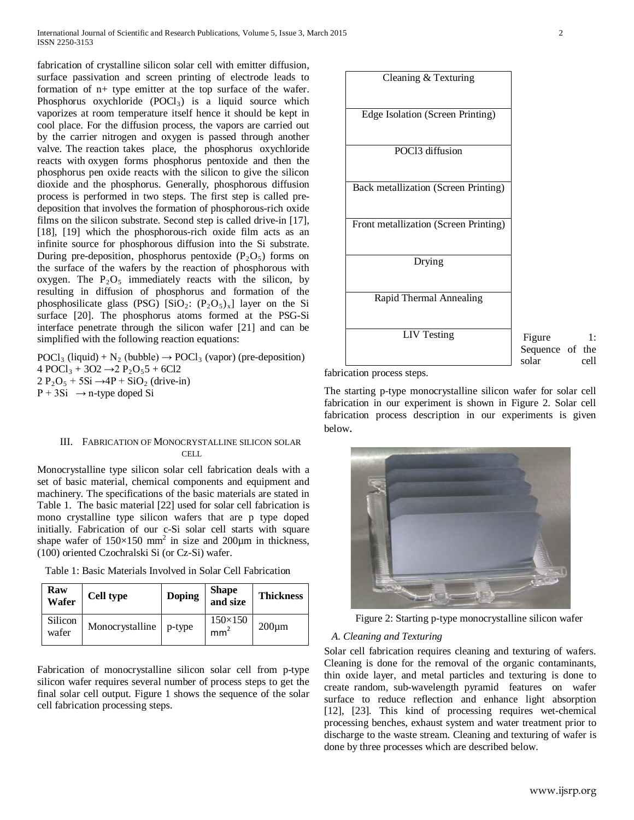fabrication of crystalline silicon solar cell with emitter diffusion, surface passivation and screen printing of electrode leads to formation of n+ type emitter at the top surface of the wafer. Phosphorus oxychloride  $(POCl<sub>3</sub>)$  is a liquid source which vaporizes at room temperature itself hence it should be kept in cool place. For the diffusion process, the vapors are carried out by the carrier nitrogen and oxygen is passed through another valve. The reaction takes place, the phosphorus oxychloride reacts with oxygen forms phosphorus pentoxide and then the phosphorus pen oxide reacts with the silicon to give the silicon dioxide and the phosphorus. Generally, phosphorous diffusion process is performed in two steps. The first step is called predeposition that involves the formation of phosphorous-rich oxide films on the silicon substrate. Second step is called drive-in [17], [18], [19] which the phosphorous-rich oxide film acts as an infinite source for phosphorous diffusion into the Si substrate. During pre-deposition, phosphorus pentoxide  $(P_2O_5)$  forms on the surface of the wafers by the reaction of phosphorous with oxygen. The  $P_2O_5$  immediately reacts with the silicon, by resulting in diffusion of phosphorus and formation of the phosphosilicate glass (PSG) [SiO<sub>2</sub>:  $(P_2O_5)_x$ ] layer on the Si surface [20]. The phosphorus atoms formed at the PSG-Si interface penetrate through the silicon wafer [21] and can be simplified with the following reaction equations:

 $\text{POC1}_3$  (liquid) + N<sub>2</sub> (bubble)  $\rightarrow$  POCl<sub>3</sub> (vapor) (pre-deposition) 4 POCl<sub>3</sub> + 3O2  $\rightarrow$  2 P<sub>2</sub>O<sub>5</sub>5 + 6Cl2  $2 P_2O_5 + 5Si \rightarrow 4P + SiO_2$  (drive-in)  $P + 3Si \rightarrow n$ -type doped Si

## III. FABRICATION OF MONOCRYSTALLINE SILICON SOLAR CELL.

Monocrystalline type silicon solar cell fabrication deals with a set of basic material, chemical components and equipment and machinery. The specifications of the basic materials are stated in Table 1. The basic material [22] used for solar cell fabrication is mono crystalline type silicon wafers that are p type doped initially. Fabrication of our c-Si solar cell starts with square shape wafer of  $150\times150$  mm<sup>2</sup> in size and 200 $\mu$ m in thickness, (100) oriented Czochralski Si (or Cz-Si) wafer.

Table 1: Basic Materials Involved in Solar Cell Fabrication

| Raw<br>Wafer     | <b>Cell type</b> | <b>Doping</b> | <b>Shape</b><br>and size          | <b>Thickness</b> |
|------------------|------------------|---------------|-----------------------------------|------------------|
| Silicon<br>wafer | Monocrystalline  | p-type        | $150\times150$<br>mm <sup>*</sup> | $200 \mu m$      |

Fabrication of monocrystalline silicon solar cell from p-type silicon wafer requires several number of process steps to get the final solar cell output. Figure 1 shows the sequence of the solar cell fabrication processing steps.



Figure 1: Sequence of the solar cell

The starting p-type monocrystalline silicon wafer for solar cell fabrication in our experiment is shown in Figure 2. Solar cell fabrication process description in our experiments is given below.



Figure 2: Starting p-type monocrystalline silicon wafer

## *A. Cleaning and Texturing*

Solar cell fabrication requires cleaning and texturing of wafers. Cleaning is done for the removal of the organic contaminants, thin oxide layer, and metal particles and texturing is done to create random, sub-wavelength pyramid features on wafer surface to reduce reflection and enhance light absorption [12], [23]. This kind of processing requires wet-chemical processing benches, exhaust system and water treatment prior to discharge to the waste stream. Cleaning and texturing of wafer is done by three processes which are described below.

fabrication process steps.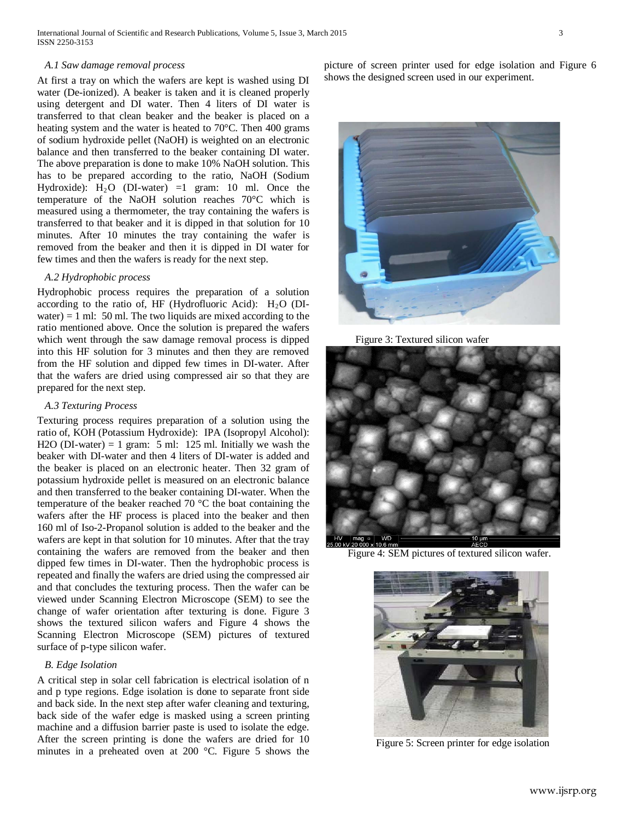## *A.1 Saw damage removal process*

At first a tray on which the wafers are kept is washed using DI water (De-ionized). A beaker is taken and it is cleaned properly using detergent and DI water. Then 4 liters of DI water is transferred to that clean beaker and the beaker is placed on a heating system and the water is heated to 70°C. Then 400 grams of sodium hydroxide pellet (NaOH) is weighted on an electronic balance and then transferred to the beaker containing DI water. The above preparation is done to make 10% NaOH solution. This has to be prepared according to the ratio, NaOH (Sodium Hydroxide):  $H_2O$  (DI-water) =1 gram: 10 ml. Once the temperature of the NaOH solution reaches 70°C which is measured using a thermometer, the tray containing the wafers is transferred to that beaker and it is dipped in that solution for 10 minutes. After 10 minutes the tray containing the wafer is removed from the beaker and then it is dipped in DI water for few times and then the wafers is ready for the next step.

## *A.2 Hydrophobic process*

Hydrophobic process requires the preparation of a solution according to the ratio of, HF (Hydrofluoric Acid):  $H<sub>2</sub>O$  (DIwater) = 1 ml: 50 ml. The two liquids are mixed according to the ratio mentioned above. Once the solution is prepared the wafers which went through the saw damage removal process is dipped into this HF solution for 3 minutes and then they are removed from the HF solution and dipped few times in DI-water. After that the wafers are dried using compressed air so that they are prepared for the next step.

#### *A.3 Texturing Process*

Texturing process requires preparation of a solution using the ratio of, KOH (Potassium Hydroxide): IPA (Isopropyl Alcohol): H2O (DI-water) = 1 gram: 5 ml: 125 ml. Initially we wash the beaker with DI-water and then 4 liters of DI-water is added and the beaker is placed on an electronic heater. Then 32 gram of potassium hydroxide pellet is measured on an electronic balance and then transferred to the beaker containing DI-water. When the temperature of the beaker reached 70 °C the boat containing the wafers after the HF process is placed into the beaker and then 160 ml of Iso-2-Propanol solution is added to the beaker and the wafers are kept in that solution for 10 minutes. After that the tray containing the wafers are removed from the beaker and then dipped few times in DI-water. Then the hydrophobic process is repeated and finally the wafers are dried using the compressed air and that concludes the texturing process. Then the wafer can be viewed under Scanning Electron Microscope (SEM) to see the change of wafer orientation after texturing is done. Figure 3 shows the textured silicon wafers and Figure 4 shows the Scanning Electron Microscope (SEM) pictures of textured surface of p-type silicon wafer.

# *B. Edge Isolation*

A critical step in solar cell fabrication is electrical isolation of n and p type regions. Edge isolation is done to separate front side and back side. In the next step after wafer cleaning and texturing, back side of the wafer edge is masked using a screen printing machine and a diffusion barrier paste is used to isolate the edge. After the screen printing is done the wafers are dried for 10 minutes in a preheated oven at 200 °C. Figure 5 shows the picture of screen printer used for edge isolation and Figure 6 shows the designed screen used in our experiment.



Figure 3: Textured silicon wafer



Figure 4: SEM pictures of textured silicon wafer.



Figure 5: Screen printer for edge isolation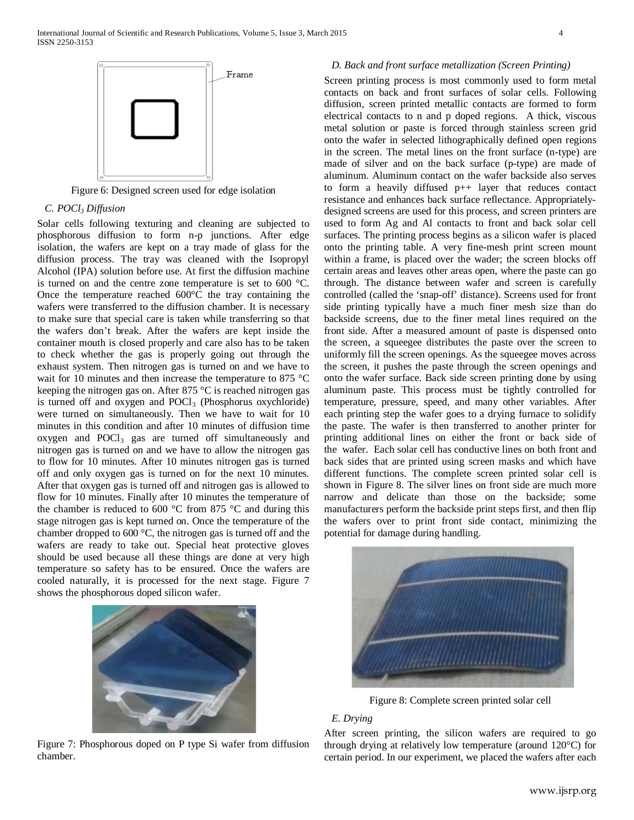

Figure 6: Designed screen used for edge isolation

# *C. POCl3 Diffusion*

Solar cells following texturing and cleaning are subjected to phosphorous diffusion to form n-p junctions. After edge isolation, the wafers are kept on a tray made of glass for the diffusion process. The tray was cleaned with the Isopropyl Alcohol (IPA) solution before use. At first the diffusion machine is turned on and the centre zone temperature is set to 600 °C. Once the temperature reached 600°C the tray containing the wafers were transferred to the diffusion chamber. It is necessary to make sure that special care is taken while transferring so that the wafers don't break. After the wafers are kept inside the container mouth is closed properly and care also has to be taken to check whether the gas is properly going out through the exhaust system. Then nitrogen gas is turned on and we have to wait for 10 minutes and then increase the temperature to 875 °C keeping the nitrogen gas on. After 875 °C is reached nitrogen gas is turned off and oxygen and POCl<sub>3</sub> (Phosphorus oxychloride) were turned on simultaneously. Then we have to wait for 10 minutes in this condition and after 10 minutes of diffusion time oxygen and POCl3 gas are turned off simultaneously and nitrogen gas is turned on and we have to allow the nitrogen gas to flow for 10 minutes. After 10 minutes nitrogen gas is turned off and only oxygen gas is turned on for the next 10 minutes. After that oxygen gas is turned off and nitrogen gas is allowed to flow for 10 minutes. Finally after 10 minutes the temperature of the chamber is reduced to 600 °C from 875 °C and during this stage nitrogen gas is kept turned on. Once the temperature of the chamber dropped to 600 °C, the nitrogen gas is turned off and the wafers are ready to take out. Special heat protective gloves should be used because all these things are done at very high temperature so safety has to be ensured. Once the wafers are cooled naturally, it is processed for the next stage. Figure 7 shows the phosphorous doped silicon wafer.



Figure 7: Phosphorous doped on P type Si wafer from diffusion chamber.

## *D. Back and front surface metallization (Screen Printing)*

Screen printing process is most commonly used to form metal contacts on back and front surfaces of solar cells. Following diffusion, screen printed metallic contacts are formed to form electrical contacts to n and p doped regions. A thick, viscous metal solution or paste is forced through stainless screen grid onto the wafer in selected lithographically defined open regions in the screen. The metal lines on the front surface (n-type) are made of silver and on the back surface (p-type) are made of aluminum. Aluminum contact on the wafer backside also serves to form a heavily diffused p++ layer that reduces contact resistance and enhances back surface reflectance. Appropriatelydesigned screens are used for this process, and screen printers are used to form Ag and Al contacts to front and back solar cell surfaces. The printing process begins as a silicon wafer is placed onto the printing table. A very fine-mesh print screen mount within a frame, is placed over the wader; the screen blocks off certain areas and leaves other areas open, where the paste can go through. The distance between wafer and screen is carefully controlled (called the 'snap-off' distance). Screens used for front side printing typically have a much finer mesh size than do backside screens, due to the finer metal lines required on the front side. After a measured amount of paste is dispensed onto the screen, a squeegee distributes the paste over the screen to uniformly fill the screen openings. As the squeegee moves across the screen, it pushes the paste through the screen openings and onto the wafer surface. Back side screen printing done by using aluminum paste. This process must be tightly controlled for temperature, pressure, speed, and many other variables. After each printing step the wafer goes to a drying furnace to solidify the paste. The wafer is then transferred to another printer for printing additional lines on either the front or back side of the wafer. Each solar cell has conductive lines on both front and back sides that are printed using screen masks and which have different functions. The complete screen printed solar cell is shown in Figure 8. The silver lines on front side are much more narrow and delicate than those on the backside; some manufacturers perform the backside print steps first, and then flip the wafers over to print front side contact, minimizing the potential for damage during handling.



Figure 8: Complete screen printed solar cell

# *E. Drying*

After screen printing, the silicon wafers are required to go through drying at relatively low temperature (around 120°C) for certain period. In our experiment, we placed the wafers after each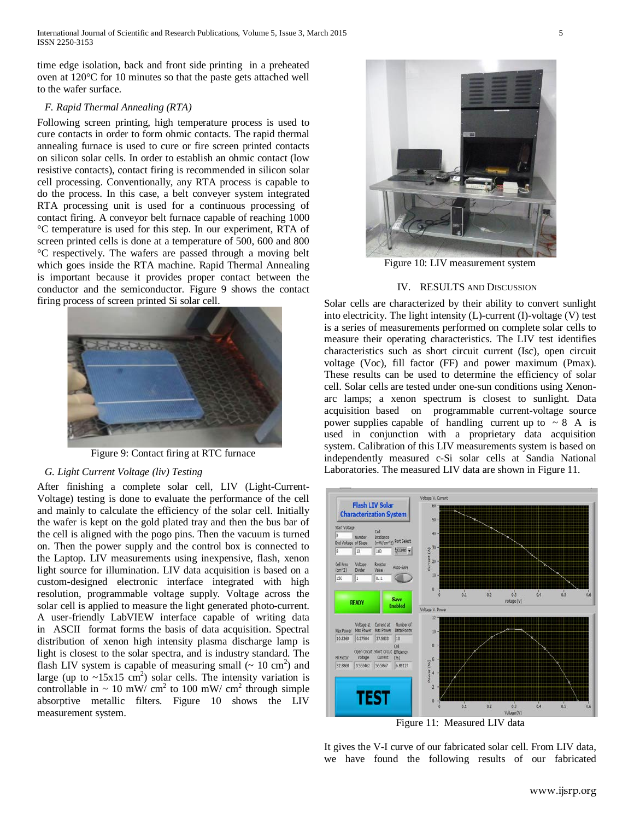time edge isolation, back and front side printing in a preheated oven at 120°C for 10 minutes so that the paste gets attached well to the wafer surface.

## *F. Rapid Thermal Annealing (RTA)*

Following screen printing, high temperature process is used to cure contacts in order to form ohmic contacts. The rapid thermal annealing furnace is used to cure or fire screen printed contacts on silicon solar cells. In order to establish an ohmic contact (low resistive contacts), contact firing is recommended in silicon solar cell processing. Conventionally, any RTA process is capable to do the process. In this case, a belt conveyer system integrated RTA processing unit is used for a continuous processing of contact firing. A conveyor belt furnace capable of reaching 1000 °C temperature is used for this step. In our experiment, RTA of screen printed cells is done at a temperature of 500, 600 and 800 °C respectively. The wafers are passed through a moving belt which goes inside the RTA machine. Rapid Thermal Annealing is important because it provides proper contact between the conductor and the semiconductor. Figure 9 shows the contact firing process of screen printed Si solar cell.



Figure 9: Contact firing at RTC furnace

## *G. Light Current Voltage (liv) Testing*

After finishing a complete solar cell, LIV (Light-Current-Voltage) testing is done to evaluate the performance of the cell and mainly to calculate the efficiency of the solar cell. Initially the wafer is kept on the gold plated tray and then the bus bar of the cell is aligned with the pogo pins. Then the vacuum is turned on. Then the power supply and the control box is connected to the Laptop. LIV measurements using inexpensive, flash, xenon light source for illumination. LIV data acquisition is based on a custom-designed electronic interface integrated with high resolution, programmable voltage supply. Voltage across the solar cell is applied to measure the light generated photo-current. A user-friendly LabVIEW interface capable of writing data in ASCII format forms the basis of data acquisition. Spectral distribution of xenon high intensity plasma discharge lamp is light is closest to the solar spectra, and is industry standard. The flash LIV system is capable of measuring small  $($   $\sim$  10 cm<sup>2</sup> $)$  and large (up to  $\sim$ 15x15 cm<sup>2</sup>) solar cells. The intensity variation is controllable in  $\sim 10$  mW/ cm<sup>2</sup> to 100 mW/ cm<sup>2</sup> through simple absorptive metallic filters. Figure 10 shows the LIV measurement system.



Figure 10: LIV measurement system

## IV. RESULTS AND DISCUSSION

Solar cells are characterized by their ability to convert sunlight into electricity. The light intensity (L)-current (I)-voltage (V) test is a series of measurements performed on complete solar cells to measure their operating characteristics. The LIV test identifies characteristics such as short circuit current (Isc), open circuit voltage (Voc), fill factor (FF) and power maximum (Pmax). These results can be used to determine the efficiency of solar cell. Solar cells are tested under one-sun conditions using Xenonarc lamps; a xenon spectrum is closest to sunlight. Data acquisition based on programmable current-voltage source power supplies capable of handling current up to  $\sim 8$  A is used in conjunction with a proprietary data acquisition system. Calibration of this LIV measurements system is based on independently measured c-Si solar cells at Sandia National Laboratories. The measured LIV data are shown in Figure 11.



Figure 11: Measured LIV data

It gives the V-I curve of our fabricated solar cell. From LIV data, we have found the following results of our fabricated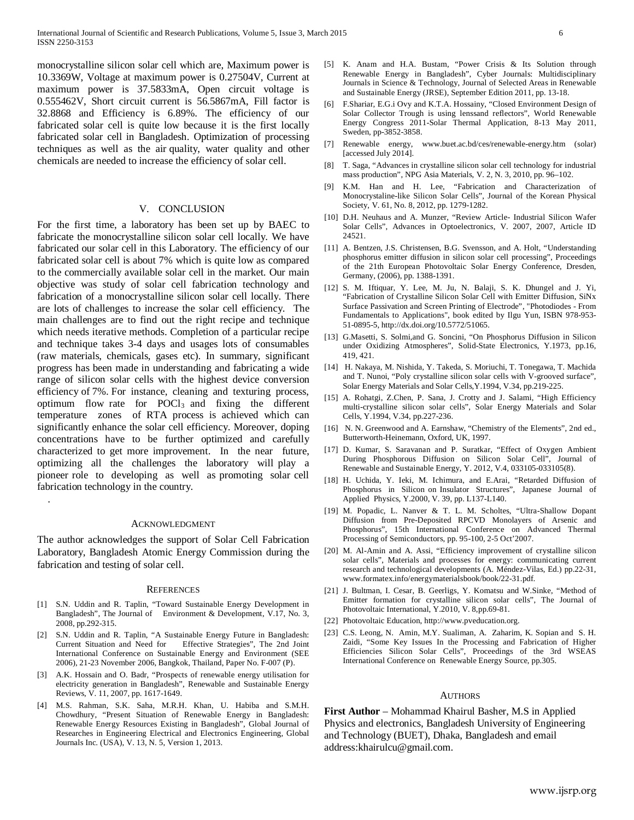monocrystalline silicon solar cell which are, Maximum power is 10.3369W, Voltage at maximum power is 0.27504V, Current at maximum power is 37.5833mA, Open circuit voltage is 0.555462V, Short circuit current is 56.5867mA, Fill factor is 32.8868 and Efficiency is 6.89%. The efficiency of our fabricated solar cell is quite low because it is the first locally fabricated solar cell in Bangladesh. Optimization of processing techniques as well as the air quality, water quality and other chemicals are needed to increase the efficiency of solar cell.

## V. CONCLUSION

For the first time, a laboratory has been set up by BAEC to fabricate the monocrystalline silicon solar cell locally. We have fabricated our solar cell in this Laboratory. The efficiency of our fabricated solar cell is about 7% which is quite low as compared to the commercially available solar cell in the market. Our main objective was study of solar cell fabrication technology and fabrication of a monocrystalline silicon solar cell locally. There are lots of challenges to increase the solar cell efficiency. The main challenges are to find out the right recipe and technique which needs iterative methods. Completion of a particular recipe and technique takes 3-4 days and usages lots of consumables (raw materials, chemicals, gases etc). In summary, significant progress has been made in understanding and fabricating a wide range of silicon solar cells with the highest device conversion efficiency of 7%. For instance, cleaning and texturing process, optimum flow rate for  $P OCl<sub>3</sub>$  and fixing the different temperature zones of RTA process is achieved which can significantly enhance the solar cell efficiency. Moreover, doping concentrations have to be further optimized and carefully characterized to get more improvement. In the near future, optimizing all the challenges the laboratory will play a pioneer role to developing as well as promoting solar cell fabrication technology in the country.

#### ACKNOWLEDGMENT

.

The author acknowledges the support of Solar Cell Fabrication Laboratory, Bangladesh Atomic Energy Commission during the fabrication and testing of solar cell.

#### **REFERENCES**

- [1] S.N. Uddin and R. Taplin, "Toward Sustainable Energy Development in Bangladesh", The Journal of Environment & Development, V.17, No. 3, 2008, pp.292-315.
- [2] S.N. Uddin and R. Taplin, "A Sustainable Energy Future in Bangladesh: Current Situation and Need for Effective Strategies", The 2nd Joint International Conference on Sustainable Energy and Environment (SEE 2006), 21-23 November 2006, Bangkok, Thailand, Paper No. F-007 (P).
- [3] A.K. Hossain and O. Badr, "Prospects of renewable energy utilisation for electricity generation in Bangladesh", Renewable and Sustainable Energy Reviews, V. 11, 2007, pp. 1617-1649.
- [4] M.S. Rahman, S.K. Saha, M.R.H. Khan, U. Habiba and S.M.H. Chowdhury, "Present Situation of Renewable Energy in Bangladesh: Renewable Energy Resources Existing in Bangladesh", Global Journal of Researches in Engineering Electrical and Electronics Engineering, Global Journals Inc. (USA), V. 13, N. 5, Version 1, 2013.
- [5] K. Anam and H.A. Bustam, "Power Crisis & Its Solution through Renewable Energy in Bangladesh", Cyber Journals: Multidisciplinary Journals in Science & Technology, Journal of Selected Areas in Renewable and Sustainable Energy (JRSE), September Edition 2011, pp. 13-18.
- [6] F.Shariar, E.G.i Ovy and K.T.A. Hossainy, "Closed Environment Design of Solar Collector Trough is using lenssand reflectors", World Renewable Energy Congress 2011-Solar Thermal Application, 8-13 May 2011, Sweden, pp-3852-3858.
- [7] Renewable energy, [www.buet.ac.bd/ces/renewable-energy.htm](http://www.buet.ac.bd/ces/renewable-energy.htm) (solar) [accessed July 2014].
- [8] T. Saga, "Advances in crystalline silicon solar cell technology for industrial mass production", NPG Asia Materials, V. 2, N. 3, 2010, pp. 96–102.
- [9] K.M. Han and H. Lee, "Fabrication and Characterization of Monocrystaline-like Silicon Solar Cells", Journal of the Korean Physical Society, V. 61, No. 8, 2012, pp. 1279-1282.
- [10] D.H. Neuhaus and A. Munzer, "Review Article- Industrial Silicon Wafer Solar Cells", Advances in Optoelectronics, V. 2007, 2007, Article ID 24521.
- [11] A. Bentzen, J.S. Christensen, B.G. Svensson, and A. Holt, "Understanding phosphorus emitter diffusion in silicon solar cell processing", Proceedings of the 21th European Photovoltaic Solar Energy Conference, Dresden, Germany, (2006), pp. 1388-1391.
- [12] S. M. Iftiquar, Y. Lee, M. Ju, N. Balaji, S. K. Dhungel and J. Yi, "Fabrication of Crystalline Silicon Solar Cell with Emitter Diffusion, SiNx Surface Passivation and Screen Printing of Electrode", ["Photodiodes -](http://www.intechopen.com/books/photodiodes-from-fundamentals-to-applications) From [Fundamentals to Applications",](http://www.intechopen.com/books/photodiodes-from-fundamentals-to-applications) book edited by Ilgu Yun, ISBN 978-953- 51-0895-5[, http://dx.doi.org/10.5772/51065.](http://dx.doi.org/10.5772/51065)
- [13] G.Masetti, S. Solmi,and G. Soncini, "On Phosphorus Diffusion in Silicon under Oxidizing Atmospheres", Solid-State Electronics, Y.1973, pp.16, 419, 421.
- [14] H. Nakaya, M. Nishida, Y. Takeda, S. Moriuchi, T. Tonegawa, T. Machida and T. Nunoi, "Poly crystalline silicon solar cells with V-grooved surface", Solar Energy Materials and Solar Cells,Y.1994, V.34, pp.219-225.
- [15] A. Rohatgi, Z.Chen, P. Sana, J. Crotty and J. Salami, "High Efficiency multi-crystalline silicon solar cells", Solar Energy Materials and Solar Cells, Y.1994, V.34, pp.227-236.
- [16] N. N. Greenwood and A. Earnshaw, "Chemistry of the Elements", 2nd ed., Butterworth-Heinemann, Oxford, UK, 1997.
- [17] D. Kumar, S. Saravanan and P. Suratkar, "Effect of Oxygen Ambient During Phosphorous Diffusion on Silicon Solar Cell", Journal of Renewable and Sustainable Energy, Y. 2012, V.4, 033105-033105(8).
- [18] H. Uchida, Y. Ieki, M. Ichimura, and E.Arai, "Retarded Diffusion of Phosphorus in Silicon on Insulator Structures", Japanese Journal of Applied Physics, Y.2000, V. 39, pp. L137-L140.
- [19] M. Popadic, L. Nanver & T. L. M. Scholtes, "Ultra-Shallow Dopant Diffusion from Pre-Deposited RPCVD Monolayers of Arsenic and Phosphorus", 15th International Conference on Advanced Thermal Processing of Semiconductors, pp. 95-100, 2-5 Oct'2007.
- [20] M. Al-Amin and A. Assi, "Efficiency improvement of crystalline silicon solar cells", Materials and processes for energy: communicating current research and technological developments (A. Méndez-Vilas, Ed.) pp.22-31, [www.formatex.info/energymaterialsbook/book/22-31.pdf](http://www.formatex.info/energymaterialsbook/book/22-31.pdf)*.*
- [21] J. Bultman, I. Cesar, B. Geerligs, Y. Komatsu and W.Sinke, "Method of Emitter formation for crystalline silicon solar cells", The Journal of Photovoltaic International, Y.2010, V. 8,pp.69-81.
- [22] Photovoltaic Education, [http://www.pveducation.org.](http://www.pveducation.org/)
- [23] C.S. Leong, N. Amin, M.Y. Sualiman, A. Zaharim, K. Sopian and S. H. Zaidi, "Some Key Issues In the Processing and Fabrication of Higher Efficiencies Silicon Solar Cells", Proceedings of the 3rd WSEAS International Conference on Renewable Energy Source, pp.305.

#### AUTHORS

**First Author** – Mohammad Khairul Basher, M.S in Applied Physics and electronics, Bangladesh University of Engineering and Technology (BUET), Dhaka, Bangladesh and email address:khairulcu@gmail.com.